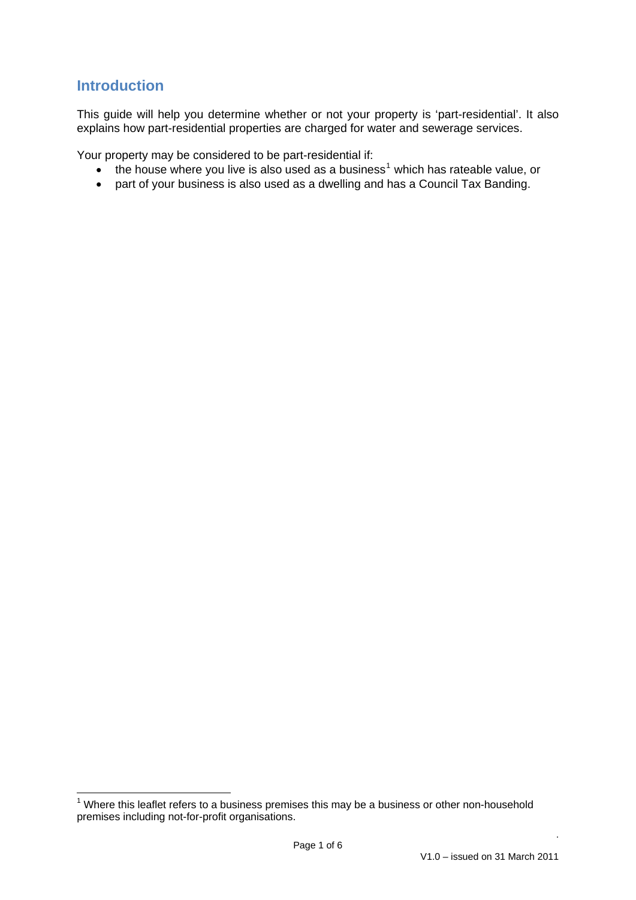# **Introduction**

This guide will help you determine whether or not your property is 'part-residential'. It also explains how part-residential properties are charged for water and sewerage services.

Your property may be considered to be part-residential if:

- $\bullet$  the house where you live is also used as a business<sup>[1](#page-0-0)</sup> which has rateable value, or
- part of your business is also used as a dwelling and has a Council Tax Banding.

<span id="page-0-0"></span><sup>————————————————————&</sup>lt;br><sup>1</sup> Where this leaflet refers to a business premises this may be a business or other non-household premises including not-for-profit organisations.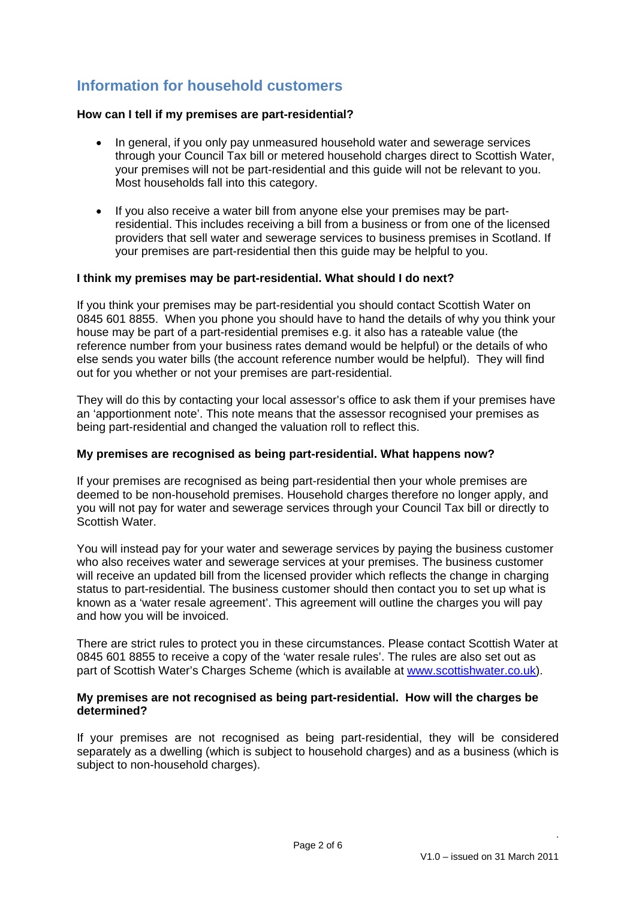# **Information for household customers**

### **How can I tell if my premises are part-residential?**

- In general, if you only pay unmeasured household water and sewerage services through your Council Tax bill or metered household charges direct to Scottish Water, your premises will not be part-residential and this guide will not be relevant to you. Most households fall into this category.
- If you also receive a water bill from anyone else your premises may be partresidential. This includes receiving a bill from a business or from one of the licensed providers that sell water and sewerage services to business premises in Scotland. If your premises are part-residential then this guide may be helpful to you.

### **I think my premises may be part-residential. What should I do next?**

If you think your premises may be part-residential you should contact Scottish Water on 0845 601 8855. When you phone you should have to hand the details of why you think your house may be part of a part-residential premises e.g. it also has a rateable value (the reference number from your business rates demand would be helpful) or the details of who else sends you water bills (the account reference number would be helpful). They will find out for you whether or not your premises are part-residential.

They will do this by contacting your local assessor's office to ask them if your premises have an 'apportionment note'. This note means that the assessor recognised your premises as being part-residential and changed the valuation roll to reflect this.

### **My premises are recognised as being part-residential. What happens now?**

If your premises are recognised as being part-residential then your whole premises are deemed to be non-household premises. Household charges therefore no longer apply, and you will not pay for water and sewerage services through your Council Tax bill or directly to Scottish Water.

You will instead pay for your water and sewerage services by paying the business customer who also receives water and sewerage services at your premises. The business customer will receive an updated bill from the licensed provider which reflects the change in charging status to part-residential. The business customer should then contact you to set up what is known as a 'water resale agreement'. This agreement will outline the charges you will pay and how you will be invoiced.

There are strict rules to protect you in these circumstances. Please contact Scottish Water at 0845 601 8855 to receive a copy of the 'water resale rules'. The rules are also set out as part of Scottish Water's Charges Scheme (which is available at [www.scottishwater.co.uk\)](http://www.scottishwater.co.uk/).

### **My premises are not recognised as being part-residential. How will the charges be determined?**

If your premises are not recognised as being part-residential, they will be considered separately as a dwelling (which is subject to household charges) and as a business (which is subject to non-household charges).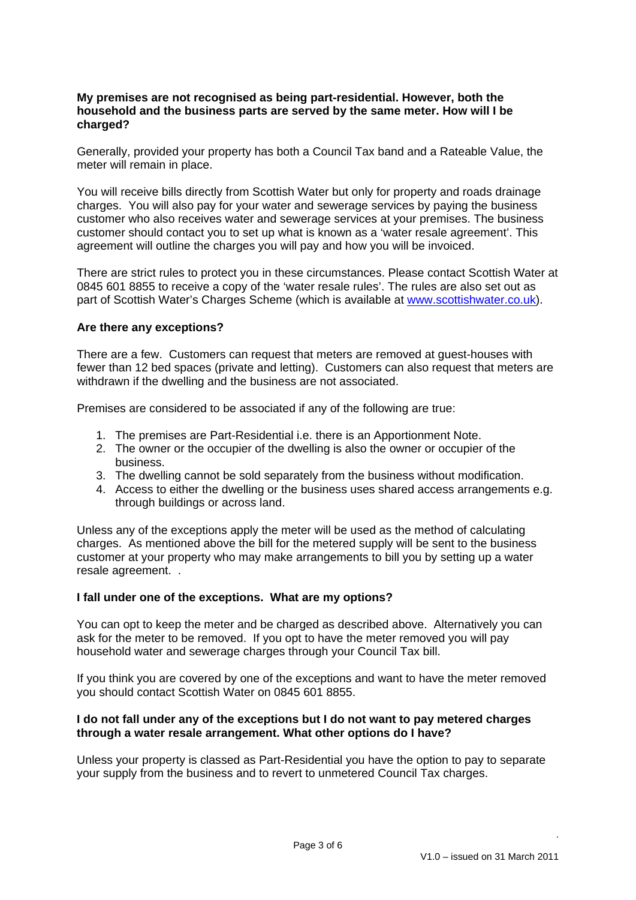### **My premises are not recognised as being part-residential. However, both the household and the business parts are served by the same meter. How will I be charged?**

Generally, provided your property has both a Council Tax band and a Rateable Value, the meter will remain in place.

You will receive bills directly from Scottish Water but only for property and roads drainage charges. You will also pay for your water and sewerage services by paying the business customer who also receives water and sewerage services at your premises. The business customer should contact you to set up what is known as a 'water resale agreement'. This agreement will outline the charges you will pay and how you will be invoiced.

There are strict rules to protect you in these circumstances. Please contact Scottish Water at 0845 601 8855 to receive a copy of the 'water resale rules'. The rules are also set out as part of Scottish Water's Charges Scheme (which is available at [www.scottishwater.co.uk\)](http://www.scottishwater.co.uk/).

# **Are there any exceptions?**

There are a few. Customers can request that meters are removed at guest-houses with fewer than 12 bed spaces (private and letting). Customers can also request that meters are withdrawn if the dwelling and the business are not associated.

Premises are considered to be associated if any of the following are true:

- 1. The premises are Part-Residential i.e. there is an Apportionment Note.
- 2. The owner or the occupier of the dwelling is also the owner or occupier of the business.
- 3. The dwelling cannot be sold separately from the business without modification.
- 4. Access to either the dwelling or the business uses shared access arrangements e.g. through buildings or across land.

Unless any of the exceptions apply the meter will be used as the method of calculating charges. As mentioned above the bill for the metered supply will be sent to the business customer at your property who may make arrangements to bill you by setting up a water resale agreement. .

#### **I fall under one of the exceptions. What are my options?**

You can opt to keep the meter and be charged as described above. Alternatively you can ask for the meter to be removed. If you opt to have the meter removed you will pay household water and sewerage charges through your Council Tax bill.

If you think you are covered by one of the exceptions and want to have the meter removed you should contact Scottish Water on 0845 601 8855.

### **I do not fall under any of the exceptions but I do not want to pay metered charges through a water resale arrangement. What other options do I have?**

Unless your property is classed as Part-Residential you have the option to pay to separate your supply from the business and to revert to unmetered Council Tax charges.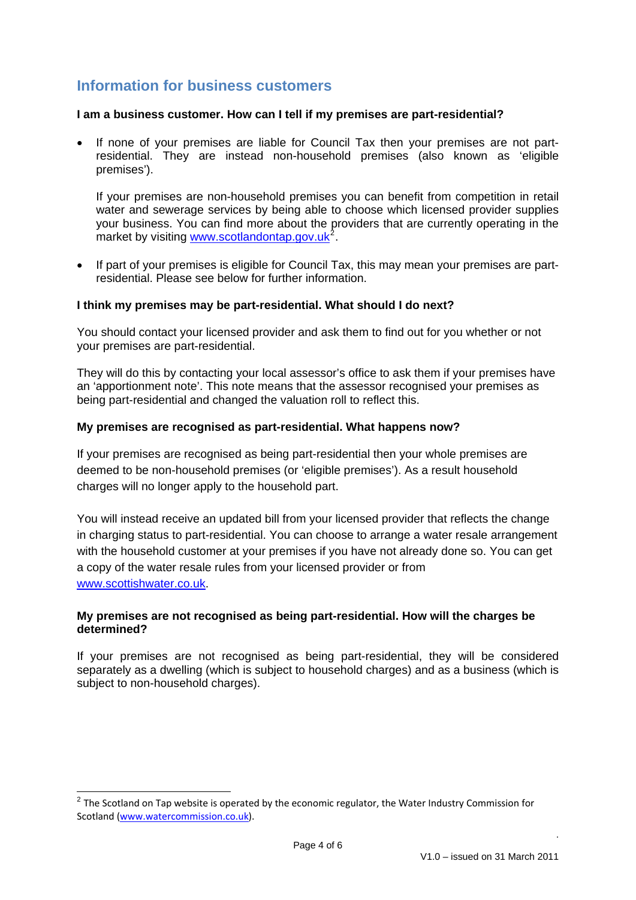# **Information for business customers**

### **I am a business customer. How can I tell if my premises are part-residential?**

 If none of your premises are liable for Council Tax then your premises are not partresidential. They are instead non-household premises (also known as 'eligible premises').

If your premises are non-household premises you can benefit from competition in retail water and sewerage services by being able to choose which licensed provider supplies your business. You can find more about the providers that are currently operating in the market by visiting [www.scotlandontap.gov.uk](http://www.scotlandontap.gov.uk/)<sup>[2](#page-3-0)</sup>.

 If part of your premises is eligible for Council Tax, this may mean your premises are partresidential. Please see below for further information.

### **I think my premises may be part-residential. What should I do next?**

You should contact your licensed provider and ask them to find out for you whether or not your premises are part-residential.

They will do this by contacting your local assessor's office to ask them if your premises have an 'apportionment note'. This note means that the assessor recognised your premises as being part-residential and changed the valuation roll to reflect this.

### **My premises are recognised as part-residential. What happens now?**

If your premises are recognised as being part-residential then your whole premises are deemed to be non-household premises (or 'eligible premises'). As a result household charges will no longer apply to the household part.

You will instead receive an updated bill from your licensed provider that reflects the change in charging status to part-residential. You can choose to arrange a water resale arrangement with the household customer at your premises if you have not already done so. You can get a copy of the water resale rules from your licensed provider or from [www.scottishwater.co.uk](http://www.scottishwater.co.uk/).

### **My premises are not recognised as being part-residential. How will the charges be determined?**

If your premises are not recognised as being part-residential, they will be considered separately as a dwelling (which is subject to household charges) and as a business (which is subject to non-household charges).

1

<span id="page-3-0"></span> $2$  The Scotland on Tap website is operated by the economic regulator, the Water Industry Commission for Scotland [\(www.watercommission.co.uk\)](http://www.watercommission.co.uk/).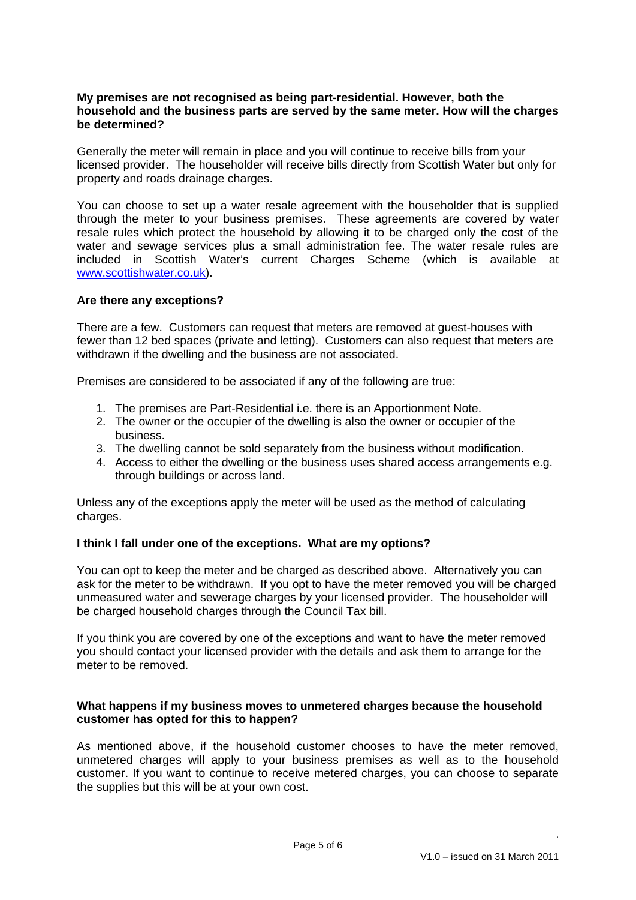### **My premises are not recognised as being part-residential. However, both the household and the business parts are served by the same meter. How will the charges be determined?**

Generally the meter will remain in place and you will continue to receive bills from your licensed provider. The householder will receive bills directly from Scottish Water but only for property and roads drainage charges.

You can choose to set up a water resale agreement with the householder that is supplied through the meter to your business premises. These agreements are covered by water resale rules which protect the household by allowing it to be charged only the cost of the water and sewage services plus a small administration fee. The water resale rules are included in Scottish Water's current Charges Scheme (which is available at [www.scottishwater.co.uk](http://www.scottishwater.co.uk/)).

### **Are there any exceptions?**

There are a few. Customers can request that meters are removed at guest-houses with fewer than 12 bed spaces (private and letting). Customers can also request that meters are withdrawn if the dwelling and the business are not associated.

Premises are considered to be associated if any of the following are true:

- 1. The premises are Part-Residential i.e. there is an Apportionment Note.
- 2. The owner or the occupier of the dwelling is also the owner or occupier of the business.
- 3. The dwelling cannot be sold separately from the business without modification.
- 4. Access to either the dwelling or the business uses shared access arrangements e.g. through buildings or across land.

Unless any of the exceptions apply the meter will be used as the method of calculating charges.

# **I think I fall under one of the exceptions. What are my options?**

You can opt to keep the meter and be charged as described above. Alternatively you can ask for the meter to be withdrawn. If you opt to have the meter removed you will be charged unmeasured water and sewerage charges by your licensed provider. The householder will be charged household charges through the Council Tax bill.

If you think you are covered by one of the exceptions and want to have the meter removed you should contact your licensed provider with the details and ask them to arrange for the meter to be removed.

### **What happens if my business moves to unmetered charges because the household customer has opted for this to happen?**

As mentioned above, if the household customer chooses to have the meter removed, unmetered charges will apply to your business premises as well as to the household customer. If you want to continue to receive metered charges, you can choose to separate the supplies but this will be at your own cost.